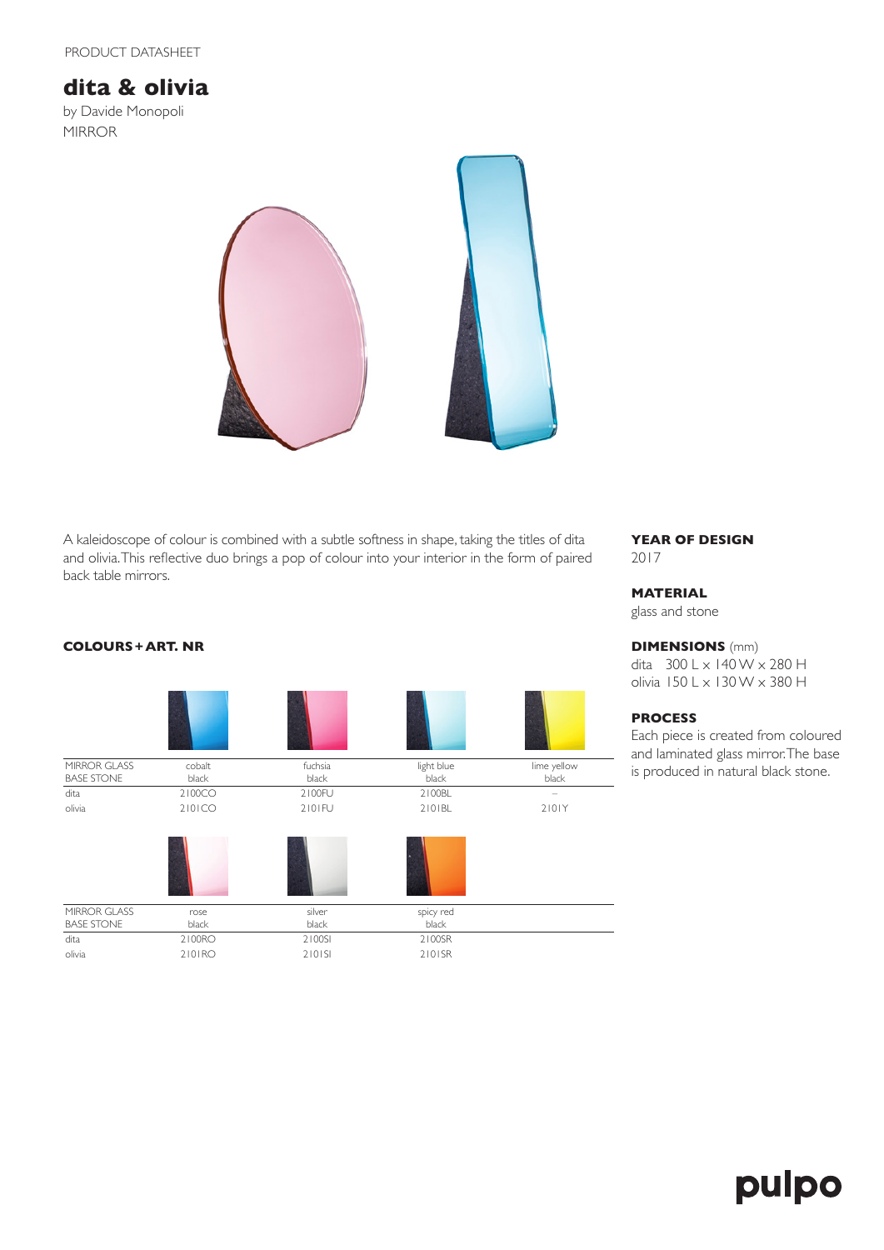# **dita & olivia**

by Davide Monopoli MIRROR



A kaleidoscope of colour is combined with a subtle softness in shape, taking the titles of dita and olivia. This reflective duo brings a pop of colour into your interior in the form of paired back table mirrors.

## **YEAR OF DESIGN** 2017

## **MATERIAL**

glass and stone

## **DIMENSIONS** (mm)

dita  $300 \text{ L} \times 140 \text{ W} \times 280 \text{ H}$ olivia 150 L x 130 W x 380 H

# **PROCESS**

Each piece is created from coloured and laminated glass mirror. The base is produced in natural black stone.

# **COLOURS+ART. NR**



# pulpo